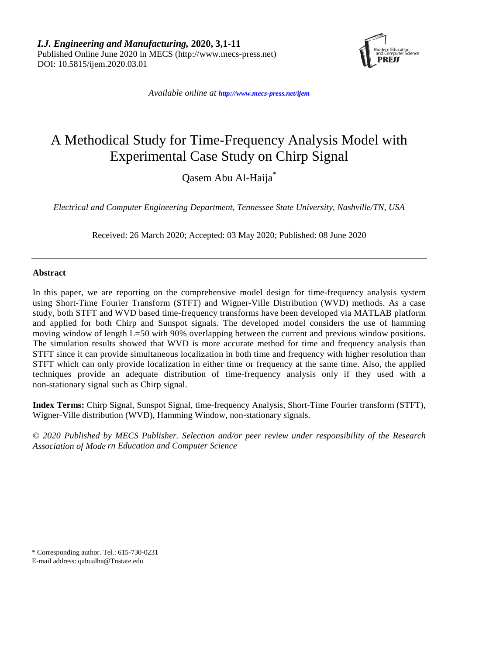*I.J. Engineering and Manufacturing,* **2020, 3,1-11** Published Online June 2020 in MECS (http://www.mecs-press.net) DOI: 10.5815/ijem.2020.03.01



*Available online at <http://www.mecs-press.net/ijem>*

# A Methodical Study for Time-Frequency Analysis Model with Experimental Case Study on Chirp Signal

Qasem Abu Al-Haija\*

*Electrical and Computer Engineering Department, Tennessee State University, Nashville/TN, USA*

Received: 26 March 2020; Accepted: 03 May 2020; Published: 08 June 2020

## **Abstract**

In this paper, we are reporting on the comprehensive model design for time-frequency analysis system using Short-Time Fourier Transform (STFT) and Wigner-Ville Distribution (WVD) methods. As a case study, both STFT and WVD based time-frequency transforms have been developed via MATLAB platform and applied for both Chirp and Sunspot signals. The developed model considers the use of hamming moving window of length L=50 with 90% overlapping between the current and previous window positions. The simulation results showed that WVD is more accurate method for time and frequency analysis than STFT since it can provide simultaneous localization in both time and frequency with higher resolution than STFT which can only provide localization in either time or frequency at the same time. Also, the applied techniques provide an adequate distribution of time-frequency analysis only if they used with a non-stationary signal such as Chirp signal.

**Index Terms:** Chirp Signal, Sunspot Signal, time-frequency Analysis, Short-Time Fourier transform (STFT), Wigner-Ville distribution (WVD), Hamming Window, non-stationary signals.

*© 2020 Published by MECS Publisher. Selection and/or peer review under responsibility of the Research Association of Mode rn Education and Computer Science*

\* Corresponding author. Tel.: 615-730-0231 E-mail address: qabualha@Tnstate.edu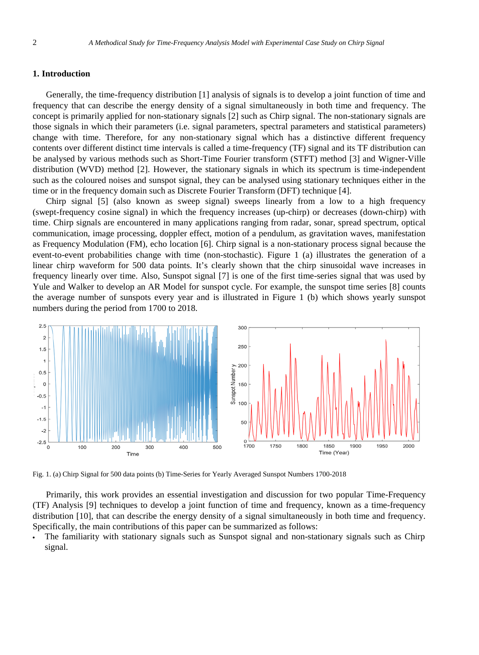## **1. Introduction**

Generally, the time-frequency distribution [1] analysis of signals is to develop a joint function of time and frequency that can describe the energy density of a signal simultaneously in both time and frequency. The concept is primarily applied for non-stationary signals [2] such as Chirp signal. The non-stationary signals are those signals in which their parameters (i.e. signal parameters, spectral parameters and statistical parameters) change with time. Therefore, for any non-stationary signal which has a distinctive different frequency contents over different distinct time intervals is called a time-frequency (TF) signal and its TF distribution can be analysed by various methods such as Short-Time Fourier transform (STFT) method [3] and Wigner-Ville distribution (WVD) method [2]. However, the stationary signals in which its spectrum is time-independent such as the coloured noises and sunspot signal, they can be analysed using stationary techniques either in the time or in the frequency domain such as Discrete Fourier Transform (DFT) technique [4].

Chirp signal [5] (also known as sweep signal) sweeps linearly from a low to a high frequency (swept-frequency cosine signal) in which the frequency increases (up-chirp) or decreases (down-chirp) with time. Chirp signals are encountered in many applications ranging from radar, sonar, spread spectrum, optical communication, image processing, doppler effect, motion of a pendulum, as gravitation waves, manifestation as Frequency Modulation (FM), echo location [6]. Chirp signal is a non-stationary process signal because the event-to-event probabilities change with time (non-stochastic). Figure 1 (a) illustrates the generation of a linear chirp waveform for 500 data points. It's clearly shown that the chirp sinusoidal wave increases in frequency linearly over time. Also, Sunspot signal [7] is one of the first time-series signal that was used by Yule and Walker to develop an AR Model for sunspot cycle. For example, the sunspot time series [8] counts the average number of sunspots every year and is illustrated in Figure 1 (b) which shows yearly sunspot numbers during the period from 1700 to 2018.



Fig. 1. (a) Chirp Signal for 500 data points (b) Time-Series for Yearly Averaged Sunspot Numbers 1700-2018

Primarily, this work provides an essential investigation and discussion for two popular Time-Frequency (TF) Analysis [9] techniques to develop a joint function of time and frequency, known as a time-frequency distribution [10], that can describe the energy density of a signal simultaneously in both time and frequency. Specifically, the main contributions of this paper can be summarized as follows:

• The familiarity with stationary signals such as Sunspot signal and non-stationary signals such as Chirp signal.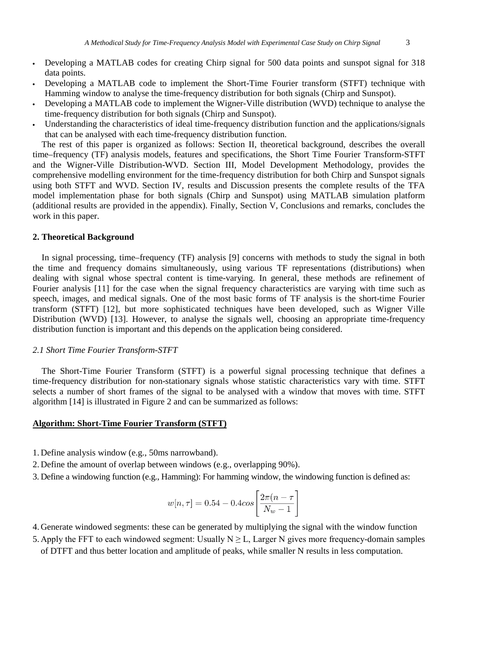- Developing a MATLAB codes for creating Chirp signal for 500 data points and sunspot signal for 318 data points.
- Developing a MATLAB code to implement the Short-Time Fourier transform (STFT) technique with Hamming window to analyse the time-frequency distribution for both signals (Chirp and Sunspot).
- Developing a MATLAB code to implement the Wigner-Ville distribution (WVD) technique to analyse the time-frequency distribution for both signals (Chirp and Sunspot).
- Understanding the characteristics of ideal time-frequency distribution function and the applications/signals that can be analysed with each time-frequency distribution function.

The rest of this paper is organized as follows: Section II, theoretical background, describes the overall time–frequency (TF) analysis models, features and specifications, the Short Time Fourier Transform-STFT and the Wigner-Ville Distribution-WVD. Section III, Model Development Methodology, provides the comprehensive modelling environment for the time-frequency distribution for both Chirp and Sunspot signals using both STFT and WVD. Section IV, results and Discussion presents the complete results of the TFA model implementation phase for both signals (Chirp and Sunspot) using MATLAB simulation platform (additional results are provided in the appendix). Finally, Section V, Conclusions and remarks, concludes the work in this paper.

## **2. Theoretical Background**

In signal processing, time–frequency (TF) analysis [9] concerns with methods to study the signal in both the time and frequency domains simultaneously, using various TF representations (distributions) when dealing with signal whose spectral content is time-varying. In general, these methods are refinement of Fourier analysis [11] for the case when the signal frequency characteristics are varying with time such as speech, images, and medical signals. One of the most basic forms of TF analysis is the short-time Fourier transform (STFT) [12], but more sophisticated techniques have been developed, such as Wigner Ville Distribution (WVD) [13]. However, to analyse the signals well, choosing an appropriate time-frequency distribution function is important and this depends on the application being considered.

#### *2.1 Short Time Fourier Transform-STFT*

The Short-Time Fourier Transform (STFT) is a powerful signal processing technique that defines a time-frequency distribution for non-stationary signals whose statistic characteristics vary with time. STFT selects a number of short frames of the signal to be analysed with a window that moves with time. STFT algorithm [14] is illustrated in Figure 2 and can be summarized as follows:

### **Algorithm: Short-Time Fourier Transform (STFT)**

- 1. Define analysis window (e.g., 50ms narrowband).
- 2. Define the amount of overlap between windows (e.g., overlapping 90%).
- 3. Define a windowing function (e.g., Hamming): For hamming window, the windowing function is defined as:

$$
w[n, \tau] = 0.54 - 0.4 \cos \left[\frac{2\pi (n - \tau)}{N_w - 1}\right]
$$

- 4. Generate windowed segments: these can be generated by multiplying the signal with the window function
- 5. Apply the FFT to each windowed segment: Usually  $N \ge L$ , Larger N gives more frequency-domain samples of DTFT and thus better location and amplitude of peaks, while smaller N results in less computation.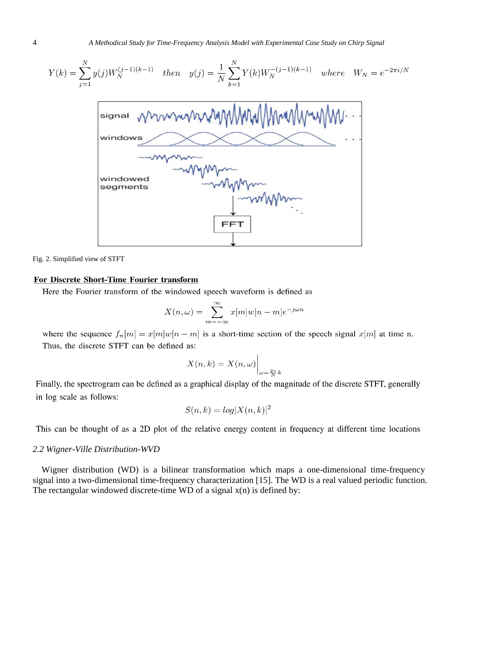$$
Y(k) = \sum_{j=1}^{N} y(j)W_N^{(j-1)(k-1)} \quad then \quad y(j) = \frac{1}{N} \sum_{k=1}^{N} Y(k)W_N^{-(j-1)(k-1)} \quad where \quad W_N = e^{-2\pi i/N}
$$



Fig. 2. Simplified view of STFT

#### For Discrete Short-Time Fourier transform

Here the Fourier transform of the windowed speech waveform is defined as

$$
X(n,\omega) = \sum_{m=-\infty}^{\infty} x[m]w[n-m]e^{-j\omega n}
$$

where the sequence  $f_n[m] = x[m]w[n-m]$  is a short-time section of the speech signal  $x[m]$  at time n. Thus, the discrete STFT can be defined as:

$$
X(n,k) = X(n,\omega)\Big|_{\omega = \frac{2\pi}{N}k}
$$

Finally, the spectrogram can be defined as a graphical display of the magnitude of the discrete STFT, generally in log scale as follows:

$$
S(n,k) = \log |X(n,k)|^2
$$

This can be thought of as a 2D plot of the relative energy content in frequency at different time locations

## *2.2 Wigner-Ville Distribution-WVD*

Wigner distribution (WD) is a bilinear transformation which maps a one-dimensional time-frequency signal into a two-dimensional time-frequency characterization [15]. The WD is a real valued periodic function. The rectangular windowed discrete-time WD of a signal  $x(n)$  is defined by: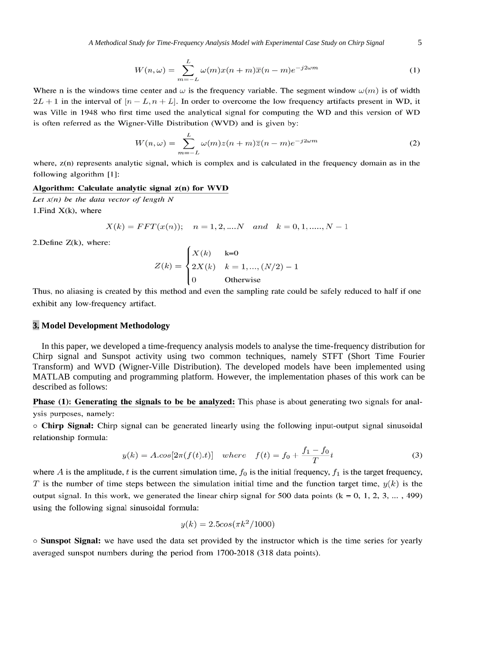$$
W(n,\omega) = \sum_{m=-L}^{L} \omega(m)x(n+m)\overline{x}(n-m)e^{-j2\omega m}
$$
 (1)

Where n is the windows time center and  $\omega$  is the frequency variable. The segment window  $\omega(m)$  is of width  $2L + 1$  in the interval of  $[n - L, n + L]$ . In order to overcome the low frequency artifacts present in WD, it was Ville in 1948 who first time used the analytical signal for computing the WD and this version of WD is often referred as the Wigner-Ville Distribution (WVD) and is given by:

$$
W(n,\omega) = \sum_{m=-L}^{L} \omega(m)z(n+m)\overline{z}(n-m)e^{-j2\omega m}
$$
 (2)

where,  $z(n)$  represents analytic signal, which is complex and is calculated in the frequency domain as in the following algorithm [1]:

#### Algorithm: Calculate analytic signal z(n) for WVD

Let  $x(n)$  be the data vector of length N 1. Find  $X(k)$ , where

$$
X(k) = FFT(x(n));
$$
  $n = 1, 2, ....N$  and  $k = 0, 1, ......., N - 1$ 

2. Define  $Z(k)$ , where:

$$
Z(k) = \begin{cases} X(k) & k=0\\ 2X(k) & k=1, \dots, (N/2) - 1\\ 0 & \text{Otherwise} \end{cases}
$$

Thus, no aliasing is created by this method and even the sampling rate could be safely reduced to half if one exhibit any low-frequency artifact.

#### **3. Model Development Methodology**

In this paper, we developed a time-frequency analysis models to analyse the time-frequency distribution for Chirp signal and Sunspot activity using two common techniques, namely STFT (Short Time Fourier Transform) and WVD (Wigner-Ville Distribution). The developed models have been implemented using MATLAB computing and programming platform. However, the implementation phases of this work can be described as follows:

Phase (1): Generating the signals to be be analyzed: This phase is about generating two signals for analysis purposes, namely:

○ Chirp Signal: Chirp signal can be generated linearly using the following input-output signal sinusoidal relationship formula:

$$
y(k) = A \cdot \cos[2\pi (f(t).t)] \quad where \quad f(t) = f_0 + \frac{f_1 - f_0}{T}t \tag{3}
$$

where A is the amplitude, t is the current simulation time,  $f_0$  is the initial frequency,  $f_1$  is the target frequency, T is the number of time steps between the simulation initial time and the function target time,  $y(k)$  is the output signal. In this work, we generated the linear chirp signal for 500 data points ( $k = 0, 1, 2, 3, \dots, 499$ ) using the following signal sinusoidal formula:

$$
y(k) = 2.5\cos(\pi k^2/1000)
$$

○ Sunspot Signal: we have used the data set provided by the instructor which is the time series for yearly averaged sunspot numbers during the period from 1700-2018 (318 data points).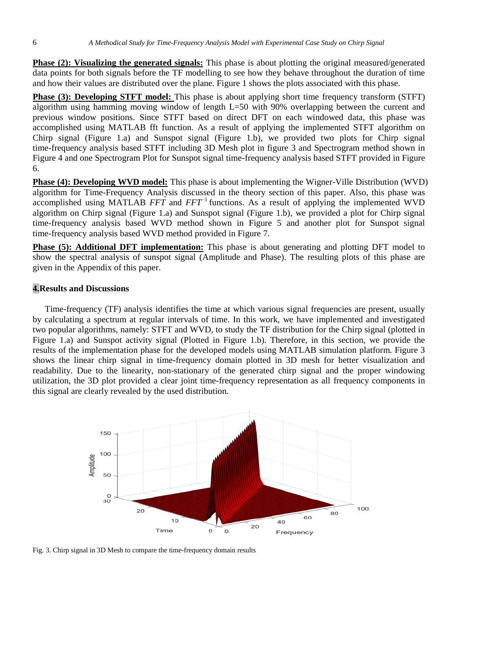**Phase (2): Visualizing the generated signals:** This phase is about plotting the original measured/generated data points for both signals before the TF modelling to see how they behave throughout the duration of time and how their values are distributed over the plane. Figure 1 shows the plots associated with this phase.

**Phase (3): Developing STFT model:** This phase is about applying short time frequency transform (STFT) algorithm using hamming moving window of length L=50 with 90% overlapping between the current and previous window positions. Since STFT based on direct DFT on each windowed data, this phase was accomplished using MATLAB fft function. As a result of applying the implemented STFT algorithm on Chirp signal (Figure 1.a) and Sunspot signal (Figure 1.b), we provided two plots for Chirp signal time-frequency analysis based STFT including 3D Mesh plot in figure 3 and Spectrogram method shown in Figure 4 and one Spectrogram Plot for Sunspot signal time-frequency analysis based STFT provided in Figure 6.

**Phase (4): Developing WVD model:** This phase is about implementing the Wigner-Ville Distribution (WVD) algorithm for Time-Frequency Analysis discussed in the theory section of this paper. Also, this phase was accomplished using MATLAB *FFT* and *FFT*<sup>−</sup>1 functions. As a result of applying the implemented WVD algorithm on Chirp signal (Figure 1.a) and Sunspot signal (Figure 1.b), we provided a plot for Chirp signal time-frequency analysis based WVD method shown in Figure 5 and another plot for Sunspot signal time-frequency analysis based WVD method provided in Figure 7.

**Phase (5): Additional DFT implementation:** This phase is about generating and plotting DFT model to show the spectral analysis of sunspot signal (Amplitude and Phase). The resulting plots of this phase are given in the Appendix of this paper.

## **4.Results and Discussions**

Time-frequency (TF) analysis identifies the time at which various signal frequencies are present, usually by calculating a spectrum at regular intervals of time. In this work, we have implemented and investigated two popular algorithms, namely: STFT and WVD, to study the TF distribution for the Chirp signal (plotted in Figure 1.a) and Sunspot activity signal (Plotted in Figure 1.b). Therefore, in this section, we provide the results of the implementation phase for the developed models using MATLAB simulation platform. Figure 3 shows the linear chirp signal in time-frequency domain plotted in 3D mesh for better visualization and readability. Due to the linearity, non-stationary of the generated chirp signal and the proper windowing utilization, the 3D plot provided a clear joint time-frequency representation as all frequency components in this signal are clearly revealed by the used distribution.



Fig. 3. Chirp signal in 3D Mesh to compare the time-frequency domain results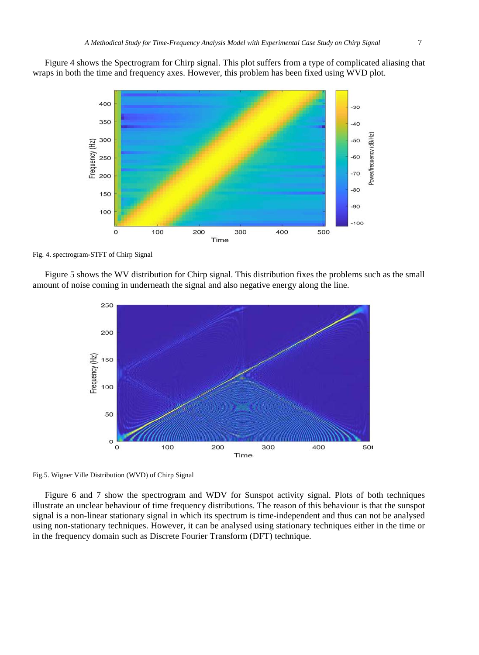Figure 4 shows the Spectrogram for Chirp signal. This plot suffers from a type of complicated aliasing that wraps in both the time and frequency axes. However, this problem has been fixed using WVD plot.



Fig. 4. spectrogram-STFT of Chirp Signal

Figure 5 shows the WV distribution for Chirp signal. This distribution fixes the problems such as the small amount of noise coming in underneath the signal and also negative energy along the line.



Fig.5. Wigner Ville Distribution (WVD) of Chirp Signal

Figure 6 and 7 show the spectrogram and WDV for Sunspot activity signal. Plots of both techniques illustrate an unclear behaviour of time frequency distributions. The reason of this behaviour is that the sunspot signal is a non-linear stationary signal in which its spectrum is time-independent and thus can not be analysed using non-stationary techniques. However, it can be analysed using stationary techniques either in the time or in the frequency domain such as Discrete Fourier Transform (DFT) technique.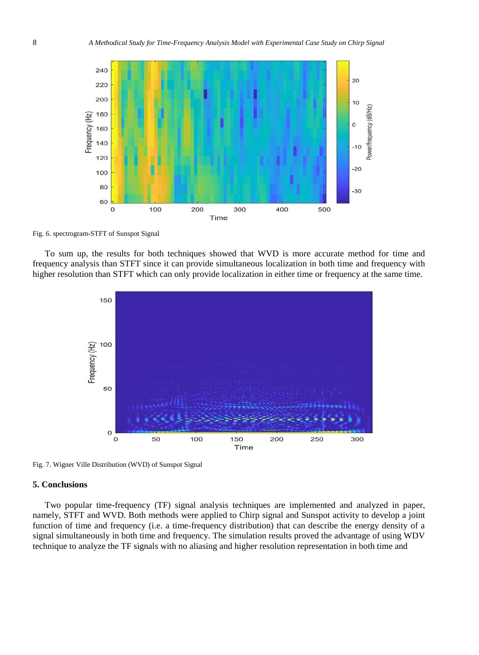

Fig. 6. spectrogram-STFT of Sunspot Signal

To sum up, the results for both techniques showed that WVD is more accurate method for time and frequency analysis than STFT since it can provide simultaneous localization in both time and frequency with higher resolution than STFT which can only provide localization in either time or frequency at the same time.



Fig. 7. Wigner Ville Distribution (WVD) of Sunspot Signal

## **5. Conclusions**

Two popular time-frequency (TF) signal analysis techniques are implemented and analyzed in paper, namely, STFT and WVD. Both methods were applied to Chirp signal and Sunspot activity to develop a joint function of time and frequency (i.e. a time-frequency distribution) that can describe the energy density of a signal simultaneously in both time and frequency. The simulation results proved the advantage of using WDV technique to analyze the TF signals with no aliasing and higher resolution representation in both time and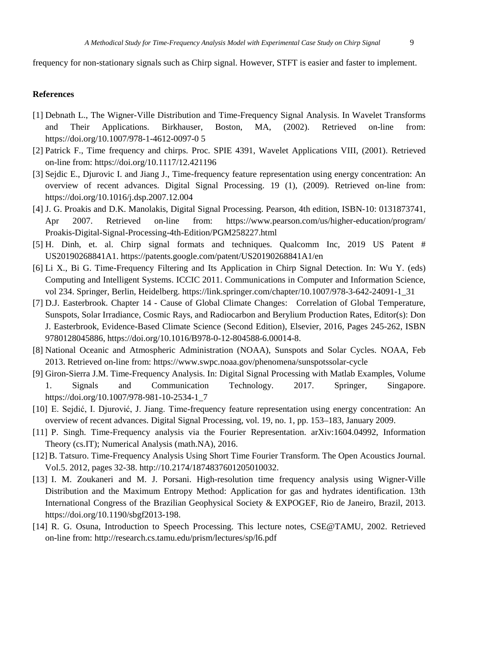frequency for non-stationary signals such as Chirp signal. However, STFT is easier and faster to implement.

# **References**

- [1] Debnath L., The Wigner-Ville Distribution and Time-Frequency Signal Analysis. In Wavelet Transforms and Their Applications. Birkhauser, Boston, MA, (2002). Retrieved on-line from: https://doi.org/10.1007/978-1-4612-0097-0 5
- [2] Patrick F., Time frequency and chirps. Proc. SPIE 4391, Wavelet Applications VIII, (2001). Retrieved on-line from: https://doi.org/10.1117/12.421196
- [3] Sejdic E., Djurovic I. and Jiang J., Time-frequency feature representation using energy concentration: An overview of recent advances. Digital Signal Processing. 19 (1), (2009). Retrieved on-line from: https://doi.org/10.1016/j.dsp.2007.12.004
- [4] J. G. Proakis and D.K. Manolakis, Digital Signal Processing. Pearson, 4th edition, ISBN-10: 0131873741, Apr 2007. Retrieved on-line from: <https://www.pearson.com/us/higher-education/program/> Proakis-Digital-Signal-Processing-4th-Edition/PGM258227.html
- [5] H. Dinh, et. al. Chirp signal formats and techniques. Qualcomm Inc, 2019 US Patent # US20190268841A1. https://patents.google.com/patent/US20190268841A1/en
- [6] Li X., Bi G. Time-Frequency Filtering and Its Application in Chirp Signal Detection. In: Wu Y. (eds) Computing and Intelligent Systems. ICCIC 2011. Communications in Computer and Information Science, vol 234. Springer, Berlin, Heidelberg. https://link.springer.com/chapter/10.1007/978-3-642-24091-1\_31
- [7] D.J. Easterbrook. Chapter 14 Cause of Global Climate Changes: Correlation of Global Temperature, Sunspots, Solar Irradiance, Cosmic Rays, and Radiocarbon and Berylium Production Rates, Editor(s): Don J. Easterbrook, Evidence-Based Climate Science (Second Edition), Elsevier, 2016, Pages 245-262, ISBN 9780128045886, https://doi.org/10.1016/B978-0-12-804588-6.00014-8.
- [8] National Oceanic and Atmospheric Administration (NOAA), Sunspots and Solar Cycles. NOAA, Feb 2013. Retrieved on-line from: https://www.swpc.noaa.gov/phenomena/sunspotssolar-cycle
- [9] Giron-Sierra J.M. Time-Frequency Analysis. In: Digital Signal Processing with Matlab Examples, Volume 1. Signals and Communication Technology. 2017. Springer, Singapore. https://doi.org/10.1007/978-981-10-2534-1\_7
- [10] E. Sejdić, I. Djurović, J. Jiang. Time-frequency feature representation using energy concentration: An overview of recent advances. Digital Signal Processing, vol. 19, no. 1, pp. 153–183, January 2009.
- [11] P. Singh. Time-Frequency analysis via the Fourier Representation. arXiv:1604.04992, Information Theory (cs.IT); Numerical Analysis (math.NA), 2016.
- [12] B. Tatsuro. Time-Frequency Analysis Using Short Time Fourier Transform. The Open Acoustics Journal. Vol.5. 2012, pages 32-38. http://10.2174/1874837601205010032.
- [13] I. M. Zoukaneri and M. J. Porsani. High-resolution time frequency analysis using Wigner-Ville Distribution and the Maximum Entropy Method: Application for gas and hydrates identification. 13th International Congress of the Brazilian Geophysical Society & EXPOGEF, Rio de Janeiro, Brazil, 2013. https://doi.org/10.1190/sbgf2013-198.
- [14] R. G. Osuna, Introduction to Speech Processing. This lecture notes, CSE@TAMU, 2002. Retrieved on-line from: http://research.cs.tamu.edu/prism/lectures/sp/l6.pdf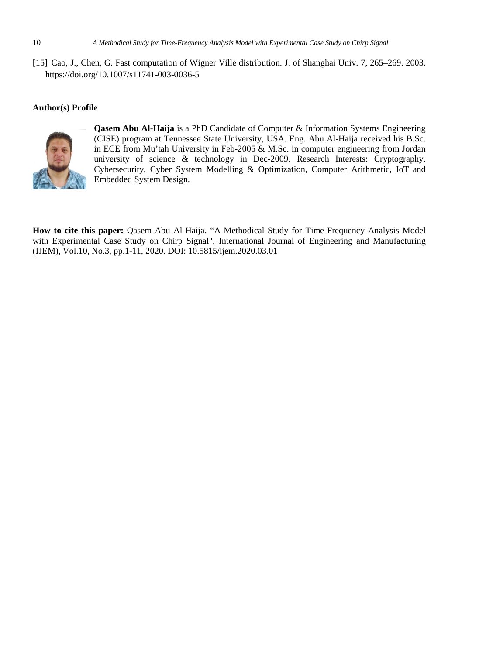[15] Cao, J., Chen, G. Fast computation of Wigner Ville distribution. J. of Shanghai Univ. 7, 265–269. 2003. https://doi.org/10.1007/s11741-003-0036-5

## **Author(s) Profile**



**Qasem Abu Al-Haija** is a PhD Candidate of Computer & Information Systems Engineering (CISE) program at Tennessee State University, USA. Eng. Abu Al-Haija received his B.Sc. in ECE from Mu'tah University in Feb-2005 & M.Sc. in computer engineering from Jordan university of science & technology in Dec-2009. Research Interests: Cryptography, Cybersecurity, Cyber System Modelling & Optimization, Computer Arithmetic, IoT and Embedded System Design.

**How to cite this paper:** Qasem Abu Al-Haija. "A Methodical Study for Time-Frequency Analysis Model with Experimental Case Study on Chirp Signal", International Journal of Engineering and Manufacturing (IJEM), Vol.10, No.3, pp.1-11, 2020. DOI: 10.5815/ijem.2020.03.01